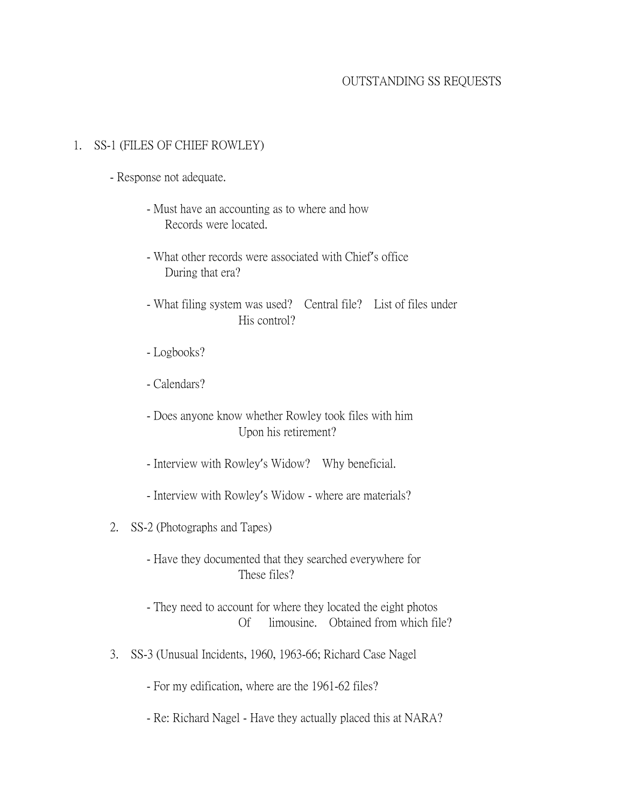# OUTSTANDING SS REQUESTS

#### 1. SS-1 (FILES OF CHIEF ROWLEY)

- Response not adequate.
	- Must have an accounting as to where and how Records were located.
	- What other records were associated with Chief's office During that era?
	- What filing system was used? Central file? List of files under His control?
	- Logbooks?
	- Calendars?
	- Does anyone know whether Rowley took files with him Upon his retirement?
	- Interview with Rowley's Widow? Why beneficial.
	- Interview with Rowley's Widow where are materials?
- 2. SS-2 (Photographs and Tapes)
	- Have they documented that they searched everywhere for These files?
	- They need to account for where they located the eight photos Of limousine. Obtained from which file?
- 3. SS-3 (Unusual Incidents, 1960, 1963-66; Richard Case Nagel
	- For my edification, where are the 1961-62 files?
	- Re: Richard Nagel Have they actually placed this at NARA?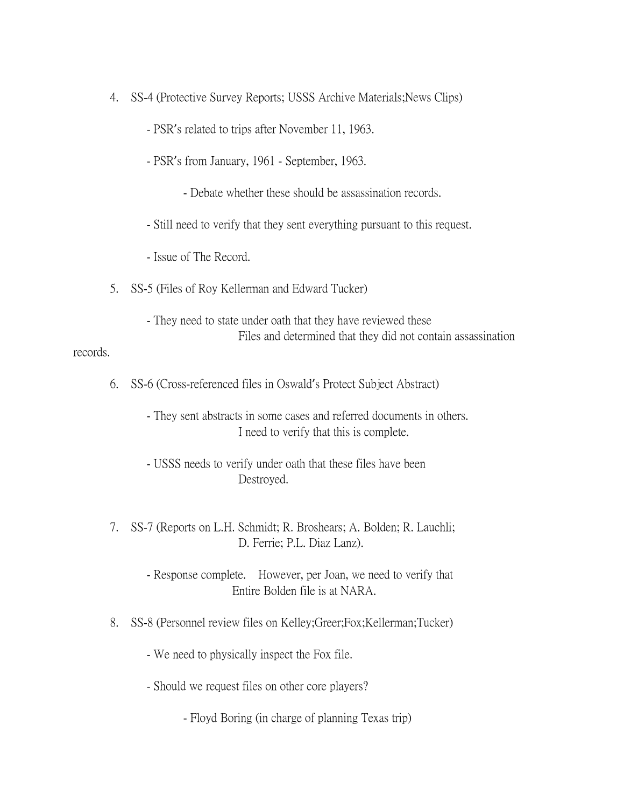- 4. SS-4 (Protective Survey Reports; USSS Archive Materials;News Clips)
	- PSR's related to trips after November 11, 1963.
	- PSR's from January, 1961 September, 1963.
		- Debate whether these should be assassination records.
	- Still need to verify that they sent everything pursuant to this request.
	- Issue of The Record.
- 5. SS-5 (Files of Roy Kellerman and Edward Tucker)
	- They need to state under oath that they have reviewed these Files and determined that they did not contain assassination

#### records.

- 6. SS-6 (Cross-referenced files in Oswald's Protect Subject Abstract)
	- They sent abstracts in some cases and referred documents in others. I need to verify that this is complete.
	- USSS needs to verify under oath that these files have been Destroyed.
- 7. SS-7 (Reports on L.H. Schmidt; R. Broshears; A. Bolden; R. Lauchli; D. Ferrie; P.L. Diaz Lanz).
	- Response complete. However, per Joan, we need to verify that Entire Bolden file is at NARA.
- 8. SS-8 (Personnel review files on Kelley;Greer;Fox;Kellerman;Tucker)
	- We need to physically inspect the Fox file.
	- Should we request files on other core players?
		- Floyd Boring (in charge of planning Texas trip)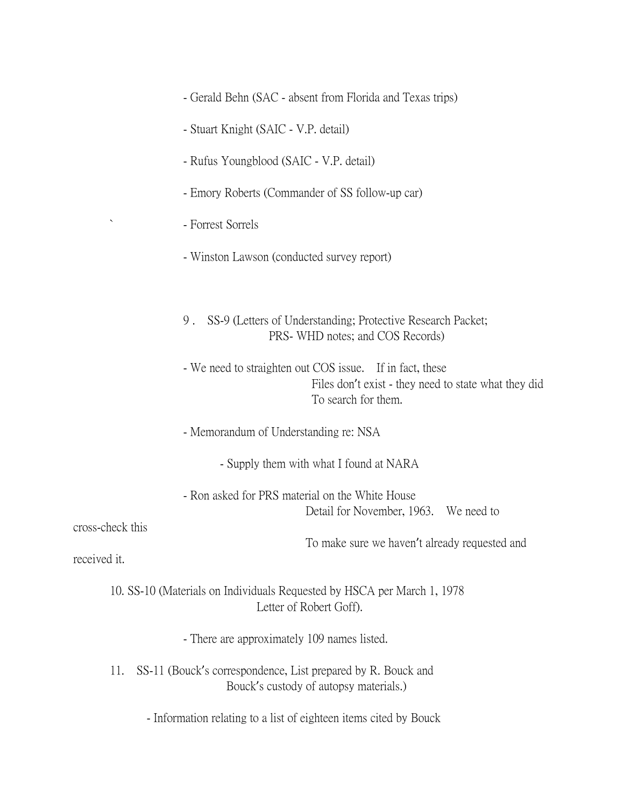- Gerald Behn (SAC absent from Florida and Texas trips)
- Stuart Knight (SAIC V.P. detail)
- Rufus Youngblood (SAIC V.P. detail)
- Emory Roberts (Commander of SS follow-up car)
- Forrest Sorrels
- Winston Lawson (conducted survey report)
- 9 . SS-9 (Letters of Understanding; Protective Research Packet; PRS- WHD notes; and COS Records)
- We need to straighten out COS issue. If in fact, these Files don't exist - they need to state what they did To search for them.
- Memorandum of Understanding re: NSA
	- Supply them with what I found at NARA

- Ron asked for PRS material on the White House Detail for November, 1963. We need to

cross-check this

To make sure we haven't already requested and

received it.

10. SS-10 (Materials on Individuals Requested by HSCA per March 1, 1978 Letter of Robert Goff).

- There are approximately 109 names listed.

- 11. SS-11 (Bouck's correspondence, List prepared by R. Bouck and Bouck's custody of autopsy materials.)
	- Information relating to a list of eighteen items cited by Bouck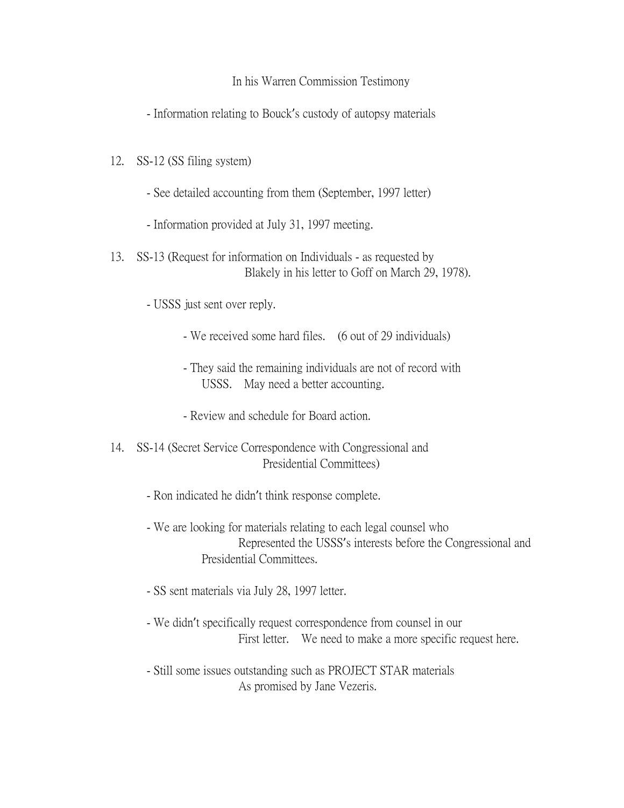# In his Warren Commission Testimony

- Information relating to Bouck's custody of autopsy materials

- 12. SS-12 (SS filing system)
	- See detailed accounting from them (September, 1997 letter)
	- Information provided at July 31, 1997 meeting.
- 13. SS-13 (Request for information on Individuals as requested by Blakely in his letter to Goff on March 29, 1978).

- USSS just sent over reply.

- We received some hard files. (6 out of 29 individuals)
- They said the remaining individuals are not of record with USSS. May need a better accounting.
- Review and schedule for Board action.
- 14. SS-14 (Secret Service Correspondence with Congressional and Presidential Committees)
	- Ron indicated he didn't think response complete.
	- We are looking for materials relating to each legal counsel who Represented the USSS's interests before the Congressional and Presidential Committees.
	- SS sent materials via July 28, 1997 letter.
	- We didn't specifically request correspondence from counsel in our First letter. We need to make a more specific request here.
	- Still some issues outstanding such as PROJECT STAR materials As promised by Jane Vezeris.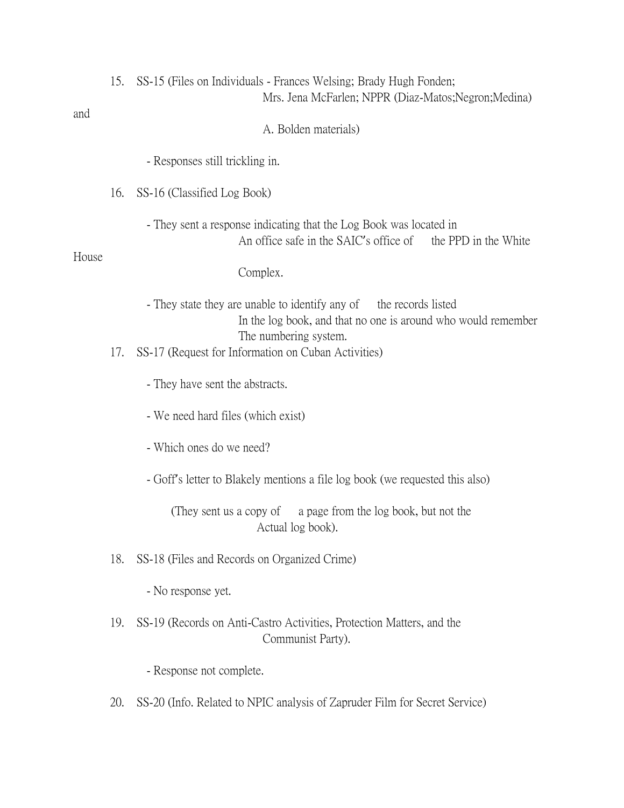| and   | 15. | SS-15 (Files on Individuals - Frances Welsing; Brady Hugh Fonden;<br>Mrs. Jena McFarlen; NPPR (Diaz-Matos; Negron; Medina)                                                                                          |
|-------|-----|---------------------------------------------------------------------------------------------------------------------------------------------------------------------------------------------------------------------|
|       |     | A. Bolden materials)                                                                                                                                                                                                |
|       |     | - Responses still trickling in.                                                                                                                                                                                     |
|       | 16. | SS-16 (Classified Log Book)                                                                                                                                                                                         |
| House |     | - They sent a response indicating that the Log Book was located in<br>An office safe in the SAIC's office of the PPD in the White                                                                                   |
|       |     | Complex.                                                                                                                                                                                                            |
|       | 17. | - They state they are unable to identify any of the records listed<br>In the log book, and that no one is around who would remember<br>The numbering system.<br>SS-17 (Request for Information on Cuban Activities) |
|       |     | - They have sent the abstracts.                                                                                                                                                                                     |
|       |     | - We need hard files (which exist)                                                                                                                                                                                  |
|       |     | - Which ones do we need?                                                                                                                                                                                            |
|       |     | - Goff's letter to Blakely mentions a file log book (we requested this also)                                                                                                                                        |
|       |     | (They sent us a copy of a page from the log book, but not the<br>Actual log book).                                                                                                                                  |
|       | 18. | SS-18 (Files and Records on Organized Crime)                                                                                                                                                                        |
|       |     | - No response yet.                                                                                                                                                                                                  |
|       | 19. | SS-19 (Records on Anti-Castro Activities, Protection Matters, and the<br>Communist Party).                                                                                                                          |
|       |     | - Response not complete.                                                                                                                                                                                            |
|       | 20. | SS-20 (Info. Related to NPIC analysis of Zapruder Film for Secret Service)                                                                                                                                          |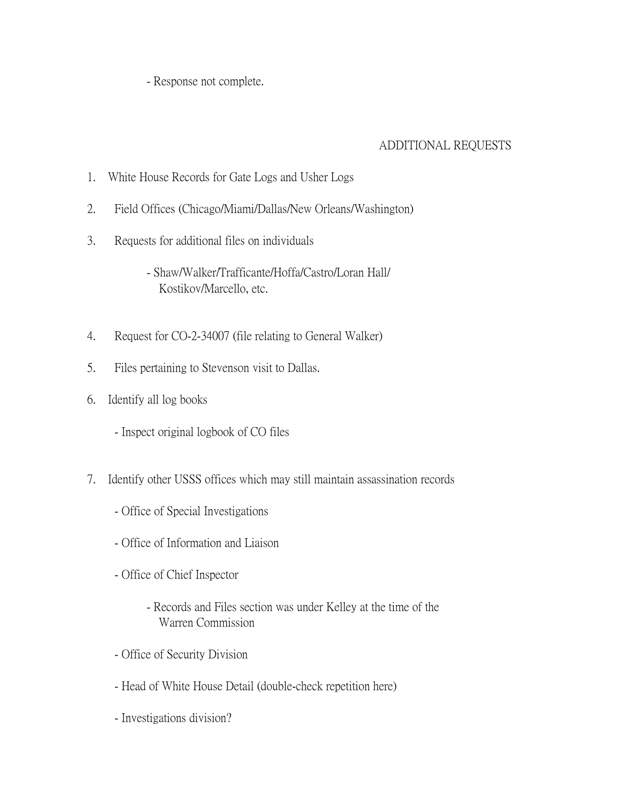- Response not complete.

# ADDITIONAL REQUESTS

- 1. White House Records for Gate Logs and Usher Logs
- 2. Field Offices (Chicago/Miami/Dallas/New Orleans/Washington)
- 3. Requests for additional files on individuals
	- Shaw/Walker/Trafficante/Hoffa/Castro/Loran Hall/ Kostikov/Marcello, etc.
- 4. Request for CO-2-34007 (file relating to General Walker)
- 5. Files pertaining to Stevenson visit to Dallas.
- 6. Identify all log books
	- Inspect original logbook of CO files
- 7. Identify other USSS offices which may still maintain assassination records
	- Office of Special Investigations
	- Office of Information and Liaison
	- Office of Chief Inspector
		- Records and Files section was under Kelley at the time of the Warren Commission
	- Office of Security Division
	- Head of White House Detail (double-check repetition here)
	- Investigations division?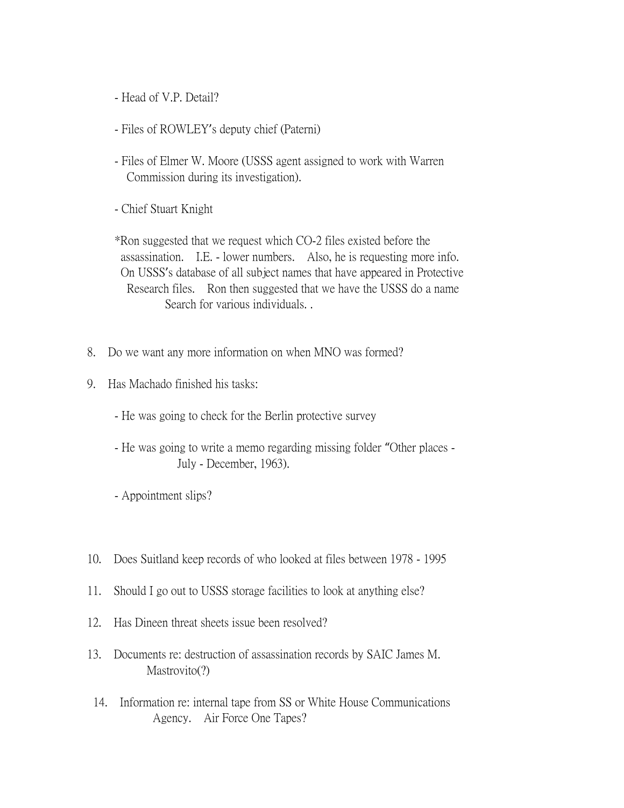- Head of V.P. Detail?

- Files of ROWLEY's deputy chief (Paterni)
- Files of Elmer W. Moore (USSS agent assigned to work with Warren Commission during its investigation).
- Chief Stuart Knight

\*Ron suggested that we request which CO-2 files existed before the assassination. I.E. - lower numbers. Also, he is requesting more info. On USSS's database of all subject names that have appeared in Protective Research files. Ron then suggested that we have the USSS do a name Search for various individuals. .

- 8. Do we want any more information on when MNO was formed?
- 9. Has Machado finished his tasks:
	- He was going to check for the Berlin protective survey
	- He was going to write a memo regarding missing folder "Other places July - December, 1963).
	- Appointment slips?
- 10. Does Suitland keep records of who looked at files between 1978 1995
- 11. Should I go out to USSS storage facilities to look at anything else?
- 12. Has Dineen threat sheets issue been resolved?
- 13. Documents re: destruction of assassination records by SAIC James M. Mastrovito<sup>(?)</sup>
- 14. Information re: internal tape from SS or White House Communications Agency. Air Force One Tapes?